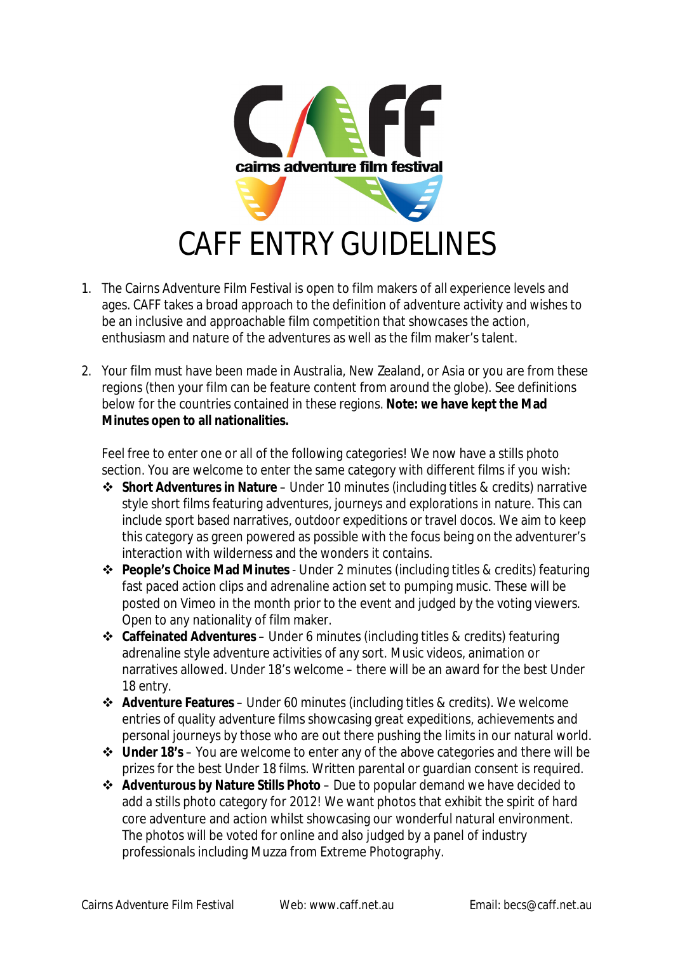

- 1. The Cairns Adventure Film Festival is open to film makers of all experience levels and ages. CAFF takes a broad approach to the definition of adventure activity and wishes to be an inclusive and approachable film competition that showcases the action, enthusiasm and nature of the adventures as well as the film maker's talent.
- 2. Your film must have been made in Australia, New Zealand, or Asia or you are from these regions (then your film can be feature content from around the globe). See definitions below for the countries contained in these regions. **Note: we have kept the Mad Minutes open to all nationalities.**

Feel free to enter one or all of the following categories! We now have a stills photo section. You are welcome to enter the same category with different films if you wish:

- **Short Adventures in Nature** Under 10 minutes (including titles & credits) narrative style short films featuring adventures, journeys and explorations in nature. This can include sport based narratives, outdoor expeditions or travel docos. We aim to keep this category as green powered as possible with the focus being on the adventurer's interaction with wilderness and the wonders it contains.
- **People's Choice Mad Minutes** Under 2 minutes (including titles & credits) featuring fast paced action clips and adrenaline action set to pumping music. These will be posted on Vimeo in the month prior to the event and judged by the voting viewers. Open to any nationality of film maker.
- **Caffeinated Adventures** Under 6 minutes (including titles & credits) featuring adrenaline style adventure activities of any sort. Music videos, animation or narratives allowed. Under 18's welcome – there will be an award for the best Under 18 entry.
- **Adventure Features** Under 60 minutes (including titles & credits). We welcome entries of quality adventure films showcasing great expeditions, achievements and personal journeys by those who are out there pushing the limits in our natural world.
- **Under 18's**  You are welcome to enter any of the above categories and there will be prizes for the best Under 18 films. Written parental or guardian consent is required.
- **Adventurous by Nature Stills Photo**  Due to popular demand we have decided to add a stills photo category for 2012! We want photos that exhibit the spirit of hard core adventure and action whilst showcasing our wonderful natural environment. The photos will be voted for online and also judged by a panel of industry professionals including Muzza from Extreme Photography.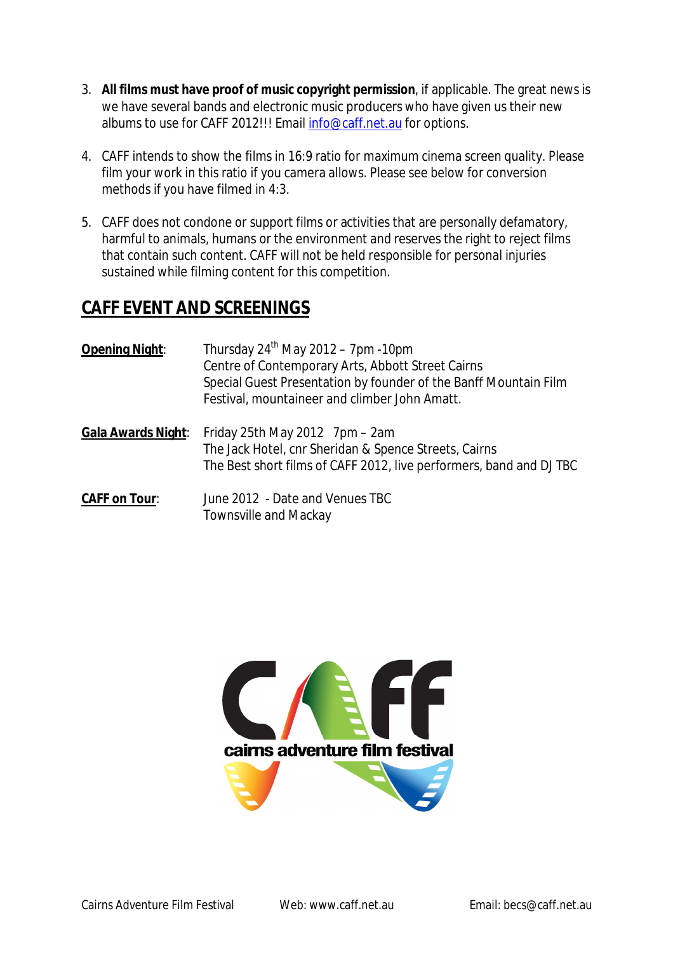- 3. **All films must have proof of music copyright permission**, if applicable. The great news is we have several bands and electronic music producers who have given us their new albums to use for CAFF 2012!!! Email info@caff.net.au for options.
- 4. CAFF intends to show the films in 16:9 ratio for maximum cinema screen quality. Please film your work in this ratio if you camera allows. Please see below for conversion methods if you have filmed in 4:3.
- 5. CAFF does not condone or support films or activities that are personally defamatory, harmful to animals, humans or the environment and reserves the right to reject films that contain such content. CAFF will not be held responsible for personal injuries sustained while filming content for this competition.

# **CAFF EVENT AND SCREENINGS**

| Opening Night:             | Thursday $24^{th}$ May 2012 – 7pm -10pm<br>Centre of Contemporary Arts, Abbott Street Cairns<br>Special Guest Presentation by founder of the Banff Mountain Film<br>Festival, mountaineer and climber John Amatt. |  |  |  |
|----------------------------|-------------------------------------------------------------------------------------------------------------------------------------------------------------------------------------------------------------------|--|--|--|
| <u> Gala Awards Night:</u> | Friday 25th May 2012 $7 \text{pm} - 2 \text{am}$<br>The Jack Hotel, cnr Sheridan & Spence Streets, Cairns<br>The Best short films of CAFF 2012, live performers, band and DJ TBC                                  |  |  |  |
| <u> CAFF on Tour:</u>      | June 2012 - Date and Venues TBC<br><b>Townsville and Mackay</b>                                                                                                                                                   |  |  |  |

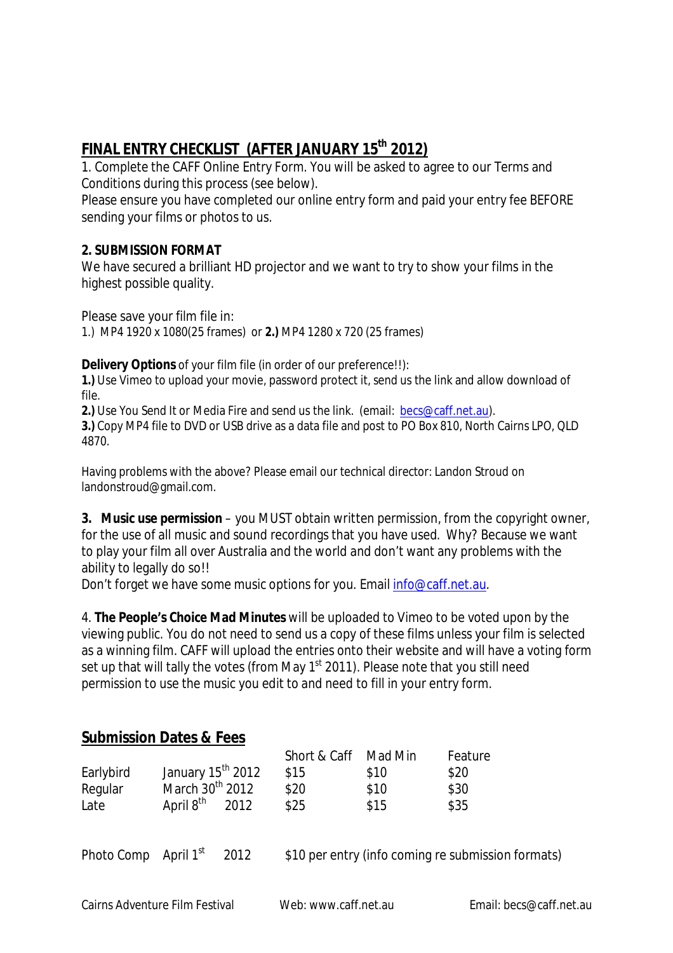## **FINAL ENTRY CHECKLIST (AFTER JANUARY 15th 2012)**

1. Complete the CAFF Online Entry Form. You will be asked to agree to our Terms and Conditions during this process (see below).

Please ensure you have completed our online entry form and paid your entry fee BEFORE sending your films or photos to us.

#### **2. SUBMISSION FORMAT**

We have secured a brilliant HD projector and we want to try to show your films in the highest possible quality.

Please save your film file in:

1.) MP4 1920 x 1080(25 frames) or **2.)** MP4 1280 x 720 (25 frames)

**Delivery Options** of your film file (in order of our preference!!):

**1.)** Use Vimeo to upload your movie, password protect it, send us the link and allow download of file.

**2.)** Use You Send It or Media Fire and send us the link. (email: becs@caff.net.au).

**3.)** Copy MP4 file to DVD or USB drive as a data file and post to PO Box 810, North Cairns LPO, QLD 4870.

Having problems with the above? Please email our technical director: Landon Stroud on landonstroud@gmail.com.

**3. Music use permission** – you MUST obtain written permission, from the copyright owner, for the use of all music and sound recordings that you have used. Why? Because we want to play your film all over Australia and the world and don't want any problems with the ability to legally do so!!

Don't forget we have some music options for you. Email info@caff.net.au.

4. **The People's Choice Mad Minutes** will be uploaded to Vimeo to be voted upon by the viewing public. You do not need to send us a copy of these films unless your film is selected as a winning film. CAFF will upload the entries onto their website and will have a voting form set up that will tally the votes (from May 1<sup>st</sup> 2011). Please note that you still need permission to use the music you edit to and need to fill in your entry form.

### **Submission Dates & Fees**

|           |                               |      | Short & Caff Mad Min |      | Feature |
|-----------|-------------------------------|------|----------------------|------|---------|
| Earlybird | January 15 <sup>th</sup> 2012 |      | \$15                 | \$10 | \$20    |
| Regular   | March 30 <sup>th</sup> 2012   |      | \$20                 | \$10 | \$30    |
| Late      | April 8 <sup>th</sup>         | 2012 | \$25                 | \$15 | \$35    |

Photo Comp April 1st

2012 \$10 per entry (info coming re submission formats)